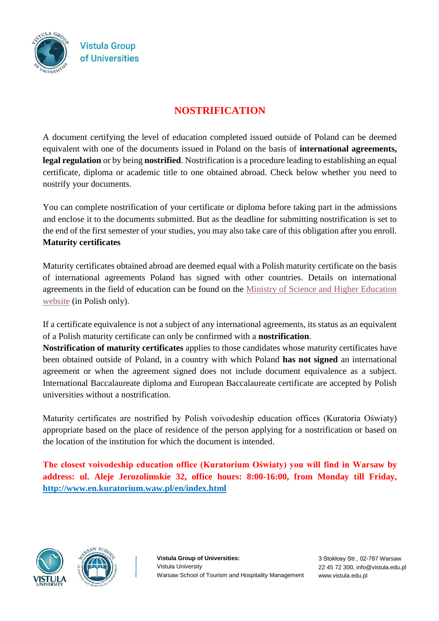

## **NOSTRIFICATION**

A document certifying the level of education completed issued outside of Poland can be deemed equivalent with one of the documents issued in Poland on the basis of **international agreements, legal regulation** or by being **nostrified**. Nostrification is a procedure leading to establishing an equal certificate, diploma or academic title to one obtained abroad. Check below whether you need to nostrify your documents.

You can complete nostrification of your certificate or diploma before taking part in the admissions and enclose it to the documents submitted. But as the deadline for submitting nostrification is set to the end of the first semester of your studies, you may also take care of this obligation after you enroll. **Maturity certificates** 

Maturity certificates obtained abroad are deemed equal with a Polish maturity certificate on the basis of international agreements Poland has signed with other countries. Details on international agreements in the field of education can be found on the [Ministry of Science and Higher Education](http://www.nauka.gov.pl/?id=997)  [website](http://www.nauka.gov.pl/?id=997) (in Polish only).

If a certificate equivalence is not a subject of any international agreements, its status as an equivalent of a Polish maturity certificate can only be confirmed with a **nostrification**.

**Nostrification of maturity certificates** applies to those candidates whose maturity certificates have been obtained outside of Poland, in a country with which Poland **has not signed** an international agreement or when the agreement signed does not include document equivalence as a subject. International Baccalaureate diploma and European Baccalaureate certificate are accepted by Polish universities without a nostrification.

Maturity certificates are nostrified by Polish voivodeship education offices (Kuratoria Oświaty) appropriate based on the place of residence of the person applying for a nostrification or based on the location of the institution for which the document is intended.

**The closest voivodeship education office (Kuratorium Oświaty) you will find in Warsaw by address: ul. Aleje Jerozolimskie 32, office hours: 8:00-16:00, from Monday till Friday, http://www.en.kuratorium.waw.pl/en/index.html**



**Vistula Group of Universities:**  Vistula University Warsaw School of Tourism and Hospitality Management

3 Stokłosy Str., 02-787 Warsaw 22 45 72 300, info@vistula.edu.pl www.vistula.edu.pl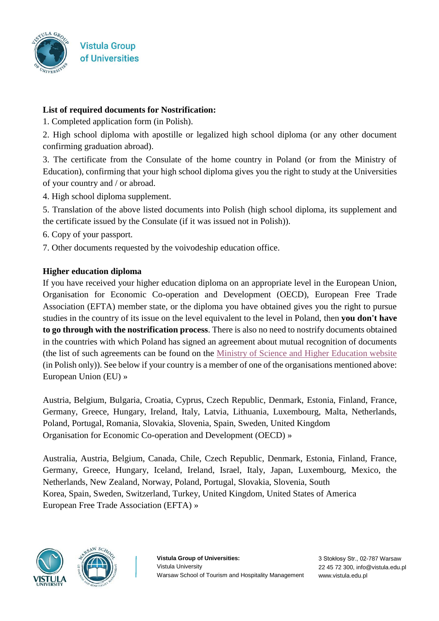

## **List of required documents for Nostrification:**

1. Completed application form (in Polish).

2. High school diploma with apostille or legalized high school diploma (or any other document confirming graduation abroad).

3. The certificate from the Consulate of the home country in Poland (or from the Ministry of Education), confirming that your high school diploma gives you the right to study at the Universities of your country and / or abroad.

4. High school diploma supplement.

5. Translation of the above listed documents into Polish (high school diploma, its supplement and the certificate issued by the Consulate (if it was issued not in Polish)).

6. Copy of your passport.

7. Other documents requested by the voivodeship education office.

## **Higher education diploma**

If you have received your higher education diploma on an appropriate level in the European Union, Organisation for Economic Co-operation and Development (OECD), European Free Trade Association (EFTA) member state, or the diploma you have obtained gives you the right to pursue studies in the country of its issue on the level equivalent to the level in Poland, then **you don't have to go through with the nostrification process**. There is also no need to nostrify documents obtained in the countries with which Poland has signed an agreement about mutual recognition of documents (the list of such agreements can be found on the [Ministry of Science and Higher Education website](http://www.nauka.gov.pl/?id=997) (in Polish only)). See below if your country is a member of one of the organisations mentioned above: European Union (EU) »

Austria, Belgium, Bulgaria, Croatia, Cyprus, Czech Republic, Denmark, Estonia, Finland, France, Germany, Greece, Hungary, Ireland, Italy, Latvia, Lithuania, Luxembourg, Malta, Netherlands, Poland, Portugal, Romania, Slovakia, Slovenia, Spain, Sweden, United Kingdom Organisation for Economic Co-operation and Development (OECD) »

Australia, Austria, Belgium, Canada, Chile, Czech Republic, Denmark, Estonia, Finland, France, Germany, Greece, Hungary, Iceland, Ireland, Israel, Italy, Japan, Luxembourg, Mexico, the Netherlands, New Zealand, Norway, Poland, Portugal, Slovakia, Slovenia, South Korea, Spain, Sweden, Switzerland, Turkey, United Kingdom, United States of America European Free Trade Association (EFTA) »



**Vistula Group of Universities:**  Vistula University Warsaw School of Tourism and Hospitality Management

3 Stokłosy Str., 02-787 Warsaw 22 45 72 300, info@vistula.edu.pl www.vistula.edu.pl